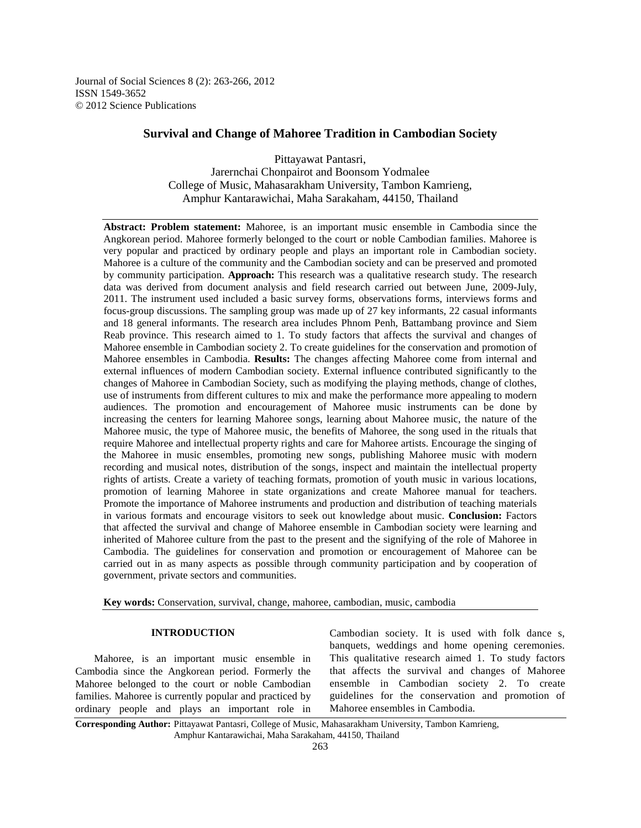Journal of Social Sciences 8 (2): 263-266, 2012 ISSN 1549-3652 © 2012 Science Publications

# **Survival and Change of Mahoree Tradition in Cambodian Society**

Pittayawat Pantasri, Jarernchai Chonpairot and Boonsom Yodmalee College of Music, Mahasarakham University, Tambon Kamrieng, Amphur Kantarawichai, Maha Sarakaham, 44150, Thailand

**Abstract: Problem statement:** Mahoree, is an important music ensemble in Cambodia since the Angkorean period. Mahoree formerly belonged to the court or noble Cambodian families. Mahoree is very popular and practiced by ordinary people and plays an important role in Cambodian society. Mahoree is a culture of the community and the Cambodian society and can be preserved and promoted by community participation. **Approach:** This research was a qualitative research study. The research data was derived from document analysis and field research carried out between June, 2009-July, 2011. The instrument used included a basic survey forms, observations forms, interviews forms and focus-group discussions. The sampling group was made up of 27 key informants, 22 casual informants and 18 general informants. The research area includes Phnom Penh, Battambang province and Siem Reab province. This research aimed to 1. To study factors that affects the survival and changes of Mahoree ensemble in Cambodian society 2. To create guidelines for the conservation and promotion of Mahoree ensembles in Cambodia. **Results:** The changes affecting Mahoree come from internal and external influences of modern Cambodian society. External influence contributed significantly to the changes of Mahoree in Cambodian Society, such as modifying the playing methods, change of clothes, use of instruments from different cultures to mix and make the performance more appealing to modern audiences. The promotion and encouragement of Mahoree music instruments can be done by increasing the centers for learning Mahoree songs, learning about Mahoree music, the nature of the Mahoree music, the type of Mahoree music, the benefits of Mahoree, the song used in the rituals that require Mahoree and intellectual property rights and care for Mahoree artists. Encourage the singing of the Mahoree in music ensembles, promoting new songs, publishing Mahoree music with modern recording and musical notes, distribution of the songs, inspect and maintain the intellectual property rights of artists. Create a variety of teaching formats, promotion of youth music in various locations, promotion of learning Mahoree in state organizations and create Mahoree manual for teachers. Promote the importance of Mahoree instruments and production and distribution of teaching materials in various formats and encourage visitors to seek out knowledge about music. **Conclusion:** Factors that affected the survival and change of Mahoree ensemble in Cambodian society were learning and inherited of Mahoree culture from the past to the present and the signifying of the role of Mahoree in Cambodia. The guidelines for conservation and promotion or encouragement of Mahoree can be carried out in as many aspects as possible through community participation and by cooperation of government, private sectors and communities.

**Key words:** Conservation, survival, change, mahoree, cambodian, music, cambodia

# **INTRODUCTION**

 Mahoree, is an important music ensemble in Cambodia since the Angkorean period. Formerly the Mahoree belonged to the court or noble Cambodian families. Mahoree is currently popular and practiced by ordinary people and plays an important role in

Cambodian society. It is used with folk dance s, banquets, weddings and home opening ceremonies. This qualitative research aimed 1. To study factors that affects the survival and changes of Mahoree ensemble in Cambodian society 2. To create guidelines for the conservation and promotion of Mahoree ensembles in Cambodia.

**Corresponding Author:** Pittayawat Pantasri, College of Music, Mahasarakham University, Tambon Kamrieng, Amphur Kantarawichai, Maha Sarakaham, 44150, Thailand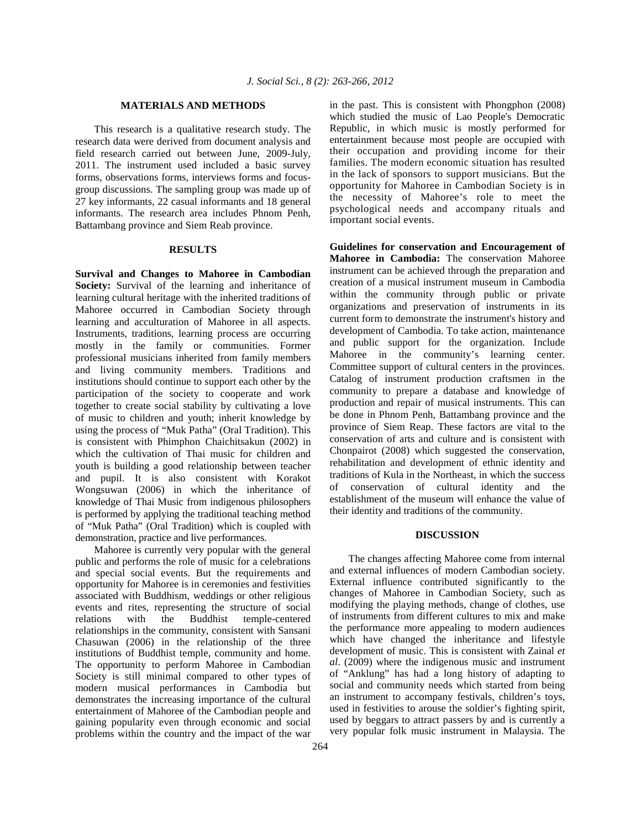#### **MATERIALS AND METHODS**

 This research is a qualitative research study. The research data were derived from document analysis and field research carried out between June, 2009-July, 2011. The instrument used included a basic survey forms, observations forms, interviews forms and focusgroup discussions. The sampling group was made up of 27 key informants, 22 casual informants and 18 general informants. The research area includes Phnom Penh, Battambang province and Siem Reab province.

#### **RESULTS**

**Survival and Changes to Mahoree in Cambodian Society:** Survival of the learning and inheritance of learning cultural heritage with the inherited traditions of Mahoree occurred in Cambodian Society through learning and acculturation of Mahoree in all aspects. Instruments, traditions, learning process are occurring mostly in the family or communities. Former professional musicians inherited from family members and living community members. Traditions and institutions should continue to support each other by the participation of the society to cooperate and work together to create social stability by cultivating a love of music to children and youth; inherit knowledge by using the process of "Muk Patha" (Oral Tradition). This is consistent with Phimphon Chaichitsakun (2002) in which the cultivation of Thai music for children and youth is building a good relationship between teacher and pupil. It is also consistent with Korakot Wongsuwan (2006) in which the inheritance of knowledge of Thai Music from indigenous philosophers is performed by applying the traditional teaching method of "Muk Patha" (Oral Tradition) which is coupled with demonstration, practice and live performances.

 Mahoree is currently very popular with the general public and performs the role of music for a celebrations and special social events. But the requirements and opportunity for Mahoree is in ceremonies and festivities associated with Buddhism, weddings or other religious events and rites, representing the structure of social relations with the Buddhist temple-centered relationships in the community, consistent with Sansani Chasuwan (2006) in the relationship of the three institutions of Buddhist temple, community and home. The opportunity to perform Mahoree in Cambodian Society is still minimal compared to other types of modern musical performances in Cambodia but demonstrates the increasing importance of the cultural entertainment of Mahoree of the Cambodian people and gaining popularity even through economic and social problems within the country and the impact of the war

in the past. This is consistent with Phongphon (2008) which studied the music of Lao People's Democratic Republic, in which music is mostly performed for entertainment because most people are occupied with their occupation and providing income for their families. The modern economic situation has resulted in the lack of sponsors to support musicians. But the opportunity for Mahoree in Cambodian Society is in the necessity of Mahoree's role to meet the psychological needs and accompany rituals and important social events.

**Guidelines for conservation and Encouragement of Mahoree in Cambodia:** The conservation Mahoree instrument can be achieved through the preparation and creation of a musical instrument museum in Cambodia within the community through public or private organizations and preservation of instruments in its current form to demonstrate the instrument's history and development of Cambodia. To take action, maintenance and public support for the organization. Include Mahoree in the community's learning center. Committee support of cultural centers in the provinces. Catalog of instrument production craftsmen in the community to prepare a database and knowledge of production and repair of musical instruments. This can be done in Phnom Penh, Battambang province and the province of Siem Reap. These factors are vital to the conservation of arts and culture and is consistent with Chonpairot (2008) which suggested the conservation, rehabilitation and development of ethnic identity and traditions of Kula in the Northeast, in which the success of conservation of cultural identity and the establishment of the museum will enhance the value of their identity and traditions of the community.

#### **DISCUSSION**

 The changes affecting Mahoree come from internal and external influences of modern Cambodian society. External influence contributed significantly to the changes of Mahoree in Cambodian Society, such as modifying the playing methods, change of clothes, use of instruments from different cultures to mix and make the performance more appealing to modern audiences which have changed the inheritance and lifestyle development of music. This is consistent with Zainal *et al*. (2009) where the indigenous music and instrument of "Anklung" has had a long history of adapting to social and community needs which started from being an instrument to accompany festivals, children's toys, used in festivities to arouse the soldier's fighting spirit, used by beggars to attract passers by and is currently a very popular folk music instrument in Malaysia. The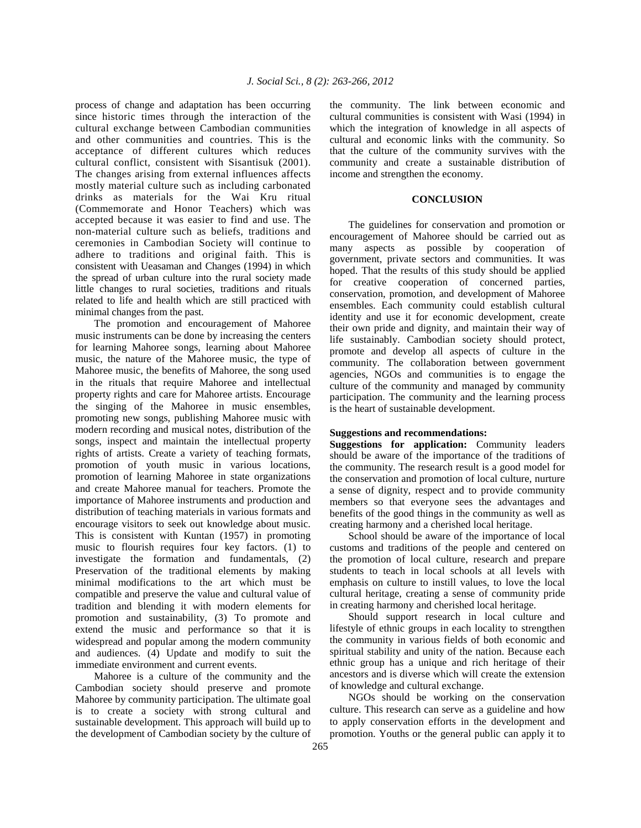process of change and adaptation has been occurring since historic times through the interaction of the cultural exchange between Cambodian communities and other communities and countries. This is the acceptance of different cultures which reduces cultural conflict, consistent with Sisantisuk (2001). The changes arising from external influences affects mostly material culture such as including carbonated drinks as materials for the Wai Kru ritual (Commemorate and Honor Teachers) which was accepted because it was easier to find and use. The non-material culture such as beliefs, traditions and ceremonies in Cambodian Society will continue to adhere to traditions and original faith. This is consistent with Ueasaman and Changes (1994) in which the spread of urban culture into the rural society made little changes to rural societies, traditions and rituals related to life and health which are still practiced with minimal changes from the past.

 The promotion and encouragement of Mahoree music instruments can be done by increasing the centers for learning Mahoree songs, learning about Mahoree music, the nature of the Mahoree music, the type of Mahoree music, the benefits of Mahoree, the song used in the rituals that require Mahoree and intellectual property rights and care for Mahoree artists. Encourage the singing of the Mahoree in music ensembles, promoting new songs, publishing Mahoree music with modern recording and musical notes, distribution of the songs, inspect and maintain the intellectual property rights of artists. Create a variety of teaching formats, promotion of youth music in various locations, promotion of learning Mahoree in state organizations and create Mahoree manual for teachers. Promote the importance of Mahoree instruments and production and distribution of teaching materials in various formats and encourage visitors to seek out knowledge about music. This is consistent with Kuntan (1957) in promoting music to flourish requires four key factors. (1) to investigate the formation and fundamentals, (2) Preservation of the traditional elements by making minimal modifications to the art which must be compatible and preserve the value and cultural value of tradition and blending it with modern elements for promotion and sustainability, (3) To promote and extend the music and performance so that it is widespread and popular among the modern community and audiences. (4) Update and modify to suit the immediate environment and current events.

 Mahoree is a culture of the community and the Cambodian society should preserve and promote Mahoree by community participation. The ultimate goal is to create a society with strong cultural and sustainable development. This approach will build up to the development of Cambodian society by the culture of the community. The link between economic and cultural communities is consistent with Wasi (1994) in which the integration of knowledge in all aspects of cultural and economic links with the community. So that the culture of the community survives with the community and create a sustainable distribution of income and strengthen the economy.

### **CONCLUSION**

 The guidelines for conservation and promotion or encouragement of Mahoree should be carried out as many aspects as possible by cooperation of government, private sectors and communities. It was hoped. That the results of this study should be applied for creative cooperation of concerned parties, conservation, promotion, and development of Mahoree ensembles. Each community could establish cultural identity and use it for economic development, create their own pride and dignity, and maintain their way of life sustainably. Cambodian society should protect, promote and develop all aspects of culture in the community. The collaboration between government agencies, NGOs and communities is to engage the culture of the community and managed by community participation. The community and the learning process is the heart of sustainable development.

### **Suggestions and recommendations:**

**Suggestions for application:** Community leaders should be aware of the importance of the traditions of the community. The research result is a good model for the conservation and promotion of local culture, nurture a sense of dignity, respect and to provide community members so that everyone sees the advantages and benefits of the good things in the community as well as creating harmony and a cherished local heritage.

 School should be aware of the importance of local customs and traditions of the people and centered on the promotion of local culture, research and prepare students to teach in local schools at all levels with emphasis on culture to instill values, to love the local cultural heritage, creating a sense of community pride in creating harmony and cherished local heritage.

 Should support research in local culture and lifestyle of ethnic groups in each locality to strengthen the community in various fields of both economic and spiritual stability and unity of the nation. Because each ethnic group has a unique and rich heritage of their ancestors and is diverse which will create the extension of knowledge and cultural exchange.

 NGOs should be working on the conservation culture. This research can serve as a guideline and how to apply conservation efforts in the development and promotion. Youths or the general public can apply it to